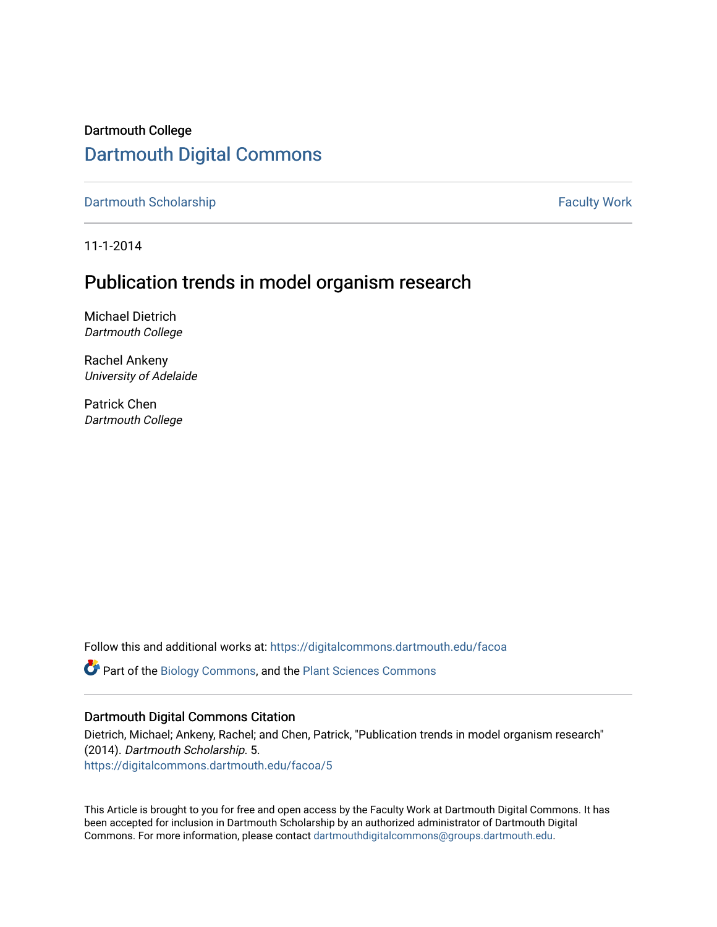# Dartmouth College [Dartmouth Digital Commons](https://digitalcommons.dartmouth.edu/)

[Dartmouth Scholarship](https://digitalcommons.dartmouth.edu/facoa) Faculty Work

11-1-2014

## Publication trends in model organism research

Michael Dietrich Dartmouth College

Rachel Ankeny University of Adelaide

Patrick Chen Dartmouth College

Follow this and additional works at: [https://digitalcommons.dartmouth.edu/facoa](https://digitalcommons.dartmouth.edu/facoa?utm_source=digitalcommons.dartmouth.edu%2Ffacoa%2F5&utm_medium=PDF&utm_campaign=PDFCoverPages)

Part of the [Biology Commons,](http://network.bepress.com/hgg/discipline/41?utm_source=digitalcommons.dartmouth.edu%2Ffacoa%2F5&utm_medium=PDF&utm_campaign=PDFCoverPages) and the [Plant Sciences Commons](http://network.bepress.com/hgg/discipline/102?utm_source=digitalcommons.dartmouth.edu%2Ffacoa%2F5&utm_medium=PDF&utm_campaign=PDFCoverPages) 

## Dartmouth Digital Commons Citation

Dietrich, Michael; Ankeny, Rachel; and Chen, Patrick, "Publication trends in model organism research" (2014). Dartmouth Scholarship. 5. [https://digitalcommons.dartmouth.edu/facoa/5](https://digitalcommons.dartmouth.edu/facoa/5?utm_source=digitalcommons.dartmouth.edu%2Ffacoa%2F5&utm_medium=PDF&utm_campaign=PDFCoverPages) 

This Article is brought to you for free and open access by the Faculty Work at Dartmouth Digital Commons. It has been accepted for inclusion in Dartmouth Scholarship by an authorized administrator of Dartmouth Digital Commons. For more information, please contact [dartmouthdigitalcommons@groups.dartmouth.edu](mailto:dartmouthdigitalcommons@groups.dartmouth.edu).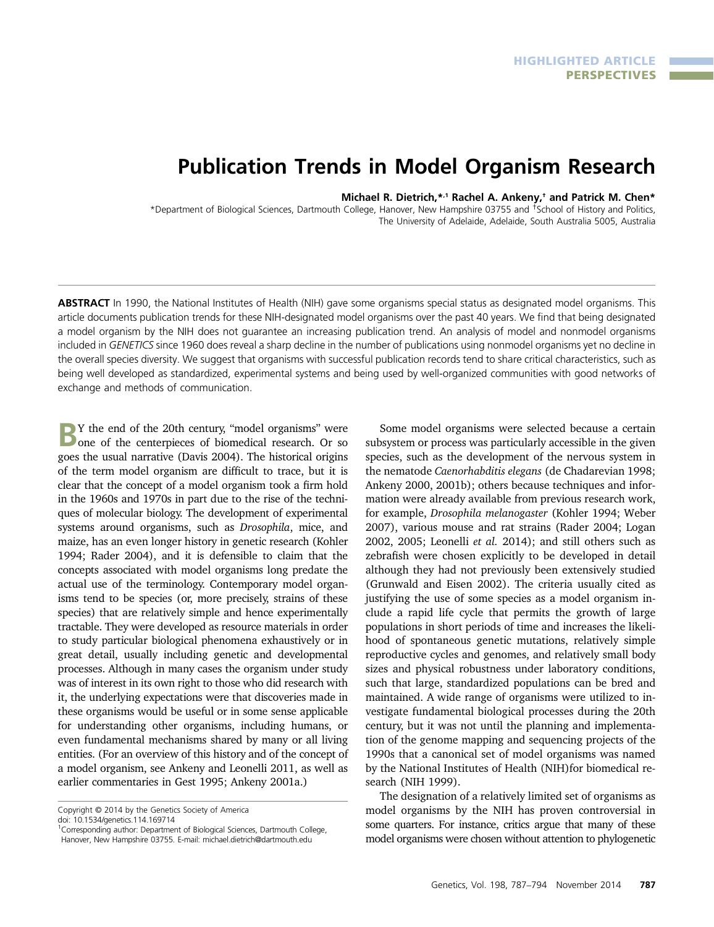# Publication Trends in Model Organism Research

Michael R. Dietrich,\*<sup>1</sup> Rachel A. Ankeny,<sup>†</sup> and Patrick M. Chen\*

\*Department of Biological Sciences, Dartmouth College, Hanover, New Hampshire 03755 and †School of History and Politics, The University of Adelaide, Adelaide, South Australia 5005, Australia

ABSTRACT In 1990, the National Institutes of Health (NIH) gave some organisms special status as designated model organisms. This article documents publication trends for these NIH-designated model organisms over the past 40 years. We find that being designated a model organism by the NIH does not guarantee an increasing publication trend. An analysis of model and nonmodel organisms included in GENETICS since 1960 does reveal a sharp decline in the number of publications using nonmodel organisms yet no decline in the overall species diversity. We suggest that organisms with successful publication records tend to share critical characteristics, such as being well developed as standardized, experimental systems and being used by well-organized communities with good networks of exchange and methods of communication.

BY the end of the 20th century, "model organisms" were **D** one of the centerpieces of biomedical research. Or so goes the usual narrative (Davis 2004). The historical origins of the term model organism are difficult to trace, but it is clear that the concept of a model organism took a firm hold in the 1960s and 1970s in part due to the rise of the techniques of molecular biology. The development of experimental systems around organisms, such as Drosophila, mice, and maize, has an even longer history in genetic research (Kohler 1994; Rader 2004), and it is defensible to claim that the concepts associated with model organisms long predate the actual use of the terminology. Contemporary model organisms tend to be species (or, more precisely, strains of these species) that are relatively simple and hence experimentally tractable. They were developed as resource materials in order to study particular biological phenomena exhaustively or in great detail, usually including genetic and developmental processes. Although in many cases the organism under study was of interest in its own right to those who did research with it, the underlying expectations were that discoveries made in these organisms would be useful or in some sense applicable for understanding other organisms, including humans, or even fundamental mechanisms shared by many or all living entities. (For an overview of this history and of the concept of a model organism, see Ankeny and Leonelli 2011, as well as earlier commentaries in Gest 1995; Ankeny 2001a.)

doi: 10.1534/genetics.114.169714

Some model organisms were selected because a certain subsystem or process was particularly accessible in the given species, such as the development of the nervous system in the nematode Caenorhabditis elegans (de Chadarevian 1998; Ankeny 2000, 2001b); others because techniques and information were already available from previous research work, for example, Drosophila melanogaster (Kohler 1994; Weber 2007), various mouse and rat strains (Rader 2004; Logan 2002, 2005; Leonelli et al. 2014); and still others such as zebrafish were chosen explicitly to be developed in detail although they had not previously been extensively studied (Grunwald and Eisen 2002). The criteria usually cited as justifying the use of some species as a model organism include a rapid life cycle that permits the growth of large populations in short periods of time and increases the likelihood of spontaneous genetic mutations, relatively simple reproductive cycles and genomes, and relatively small body sizes and physical robustness under laboratory conditions, such that large, standardized populations can be bred and maintained. A wide range of organisms were utilized to investigate fundamental biological processes during the 20th century, but it was not until the planning and implementation of the genome mapping and sequencing projects of the 1990s that a canonical set of model organisms was named by the National Institutes of Health (NIH)for biomedical research (NIH 1999).

The designation of a relatively limited set of organisms as model organisms by the NIH has proven controversial in some quarters. For instance, critics argue that many of these model organisms were chosen without attention to phylogenetic

Copyright © 2014 by the Genetics Society of America

<sup>&</sup>lt;sup>1</sup>Corresponding author: Department of Biological Sciences, Dartmouth College, Hanover, New Hampshire 03755. E-mail: [michael.dietrich@dartmouth.edu](mailto:michael.dietrich@dartmouth.edu)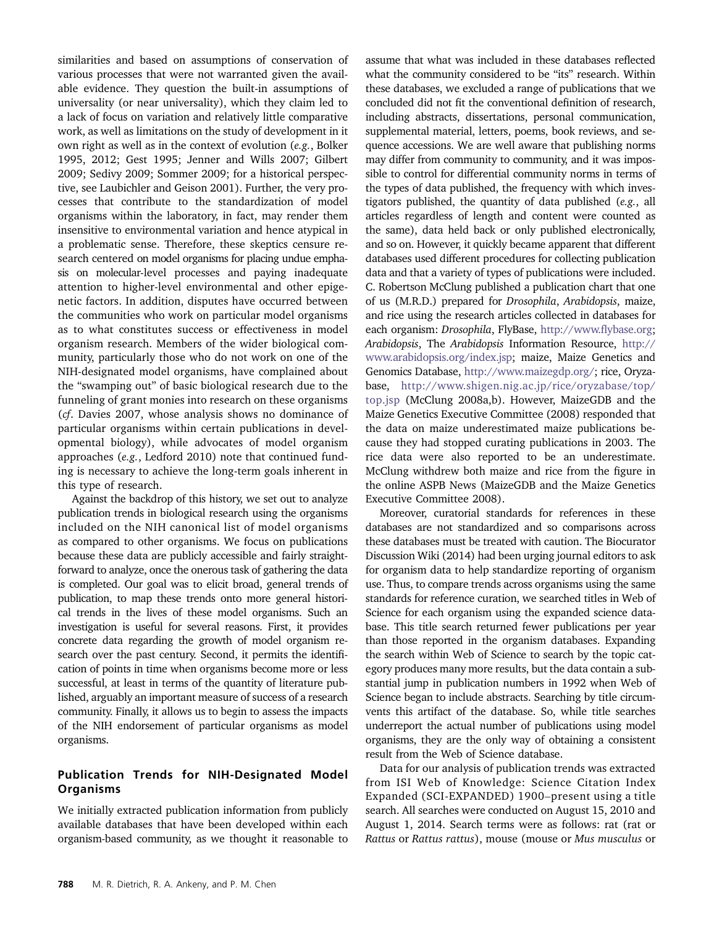similarities and based on assumptions of conservation of various processes that were not warranted given the available evidence. They question the built-in assumptions of universality (or near universality), which they claim led to a lack of focus on variation and relatively little comparative work, as well as limitations on the study of development in it own right as well as in the context of evolution (e.g., Bolker 1995, 2012; Gest 1995; Jenner and Wills 2007; Gilbert 2009; Sedivy 2009; Sommer 2009; for a historical perspective, see Laubichler and Geison 2001). Further, the very processes that contribute to the standardization of model organisms within the laboratory, in fact, may render them insensitive to environmental variation and hence atypical in a problematic sense. Therefore, these skeptics censure research centered on model organisms for placing undue emphasis on molecular-level processes and paying inadequate attention to higher-level environmental and other epigenetic factors. In addition, disputes have occurred between the communities who work on particular model organisms as to what constitutes success or effectiveness in model organism research. Members of the wider biological community, particularly those who do not work on one of the NIH-designated model organisms, have complained about the "swamping out" of basic biological research due to the funneling of grant monies into research on these organisms (cf. Davies 2007, whose analysis shows no dominance of particular organisms within certain publications in developmental biology), while advocates of model organism approaches (e.g., Ledford 2010) note that continued funding is necessary to achieve the long-term goals inherent in this type of research.

Against the backdrop of this history, we set out to analyze publication trends in biological research using the organisms included on the NIH canonical list of model organisms as compared to other organisms. We focus on publications because these data are publicly accessible and fairly straightforward to analyze, once the onerous task of gathering the data is completed. Our goal was to elicit broad, general trends of publication, to map these trends onto more general historical trends in the lives of these model organisms. Such an investigation is useful for several reasons. First, it provides concrete data regarding the growth of model organism research over the past century. Second, it permits the identification of points in time when organisms become more or less successful, at least in terms of the quantity of literature published, arguably an important measure of success of a research community. Finally, it allows us to begin to assess the impacts of the NIH endorsement of particular organisms as model organisms.

## Publication Trends for NIH-Designated Model Organisms

We initially extracted publication information from publicly available databases that have been developed within each organism-based community, as we thought it reasonable to

assume that what was included in these databases reflected what the community considered to be "its" research. Within these databases, we excluded a range of publications that we concluded did not fit the conventional definition of research, including abstracts, dissertations, personal communication, supplemental material, letters, poems, book reviews, and sequence accessions. We are well aware that publishing norms may differ from community to community, and it was impossible to control for differential community norms in terms of the types of data published, the frequency with which investigators published, the quantity of data published (e.g., all articles regardless of length and content were counted as the same), data held back or only published electronically, and so on. However, it quickly became apparent that different databases used different procedures for collecting publication data and that a variety of types of publications were included. C. Robertson McClung published a publication chart that one of us (M.R.D.) prepared for Drosophila, Arabidopsis, maize, and rice using the research articles collected in databases for each organism: Drosophila, FlyBase, [http://www.](http://www.flybase.org)flybase.org; Arabidopsis, The Arabidopsis Information Resource, [http://](http://www.arabidopsis.org/index.jsp) [www.arabidopsis.org/index.jsp;](http://www.arabidopsis.org/index.jsp) maize, Maize Genetics and Genomics Database, <http://www.maizegdp.org/>; rice, Oryzabase, [http://www.shigen.nig.ac.jp/rice/oryzabase/top/](http://www.shigen.nig.ac.jp/rice/oryzabase/top/top.jsp) [top.jsp](http://www.shigen.nig.ac.jp/rice/oryzabase/top/top.jsp) (McClung 2008a,b). However, MaizeGDB and the Maize Genetics Executive Committee (2008) responded that the data on maize underestimated maize publications because they had stopped curating publications in 2003. The rice data were also reported to be an underestimate. McClung withdrew both maize and rice from the figure in the online ASPB News (MaizeGDB and the Maize Genetics Executive Committee 2008).

Moreover, curatorial standards for references in these databases are not standardized and so comparisons across these databases must be treated with caution. The Biocurator Discussion Wiki (2014) had been urging journal editors to ask for organism data to help standardize reporting of organism use. Thus, to compare trends across organisms using the same standards for reference curation, we searched titles in Web of Science for each organism using the expanded science database. This title search returned fewer publications per year than those reported in the organism databases. Expanding the search within Web of Science to search by the topic category produces many more results, but the data contain a substantial jump in publication numbers in 1992 when Web of Science began to include abstracts. Searching by title circumvents this artifact of the database. So, while title searches underreport the actual number of publications using model organisms, they are the only way of obtaining a consistent result from the Web of Science database.

Data for our analysis of publication trends was extracted from ISI Web of Knowledge: Science Citation Index Expanded (SCI-EXPANDED) 1900–present using a title search. All searches were conducted on August 15, 2010 and August 1, 2014. Search terms were as follows: rat (rat or Rattus or Rattus rattus), mouse (mouse or Mus musculus or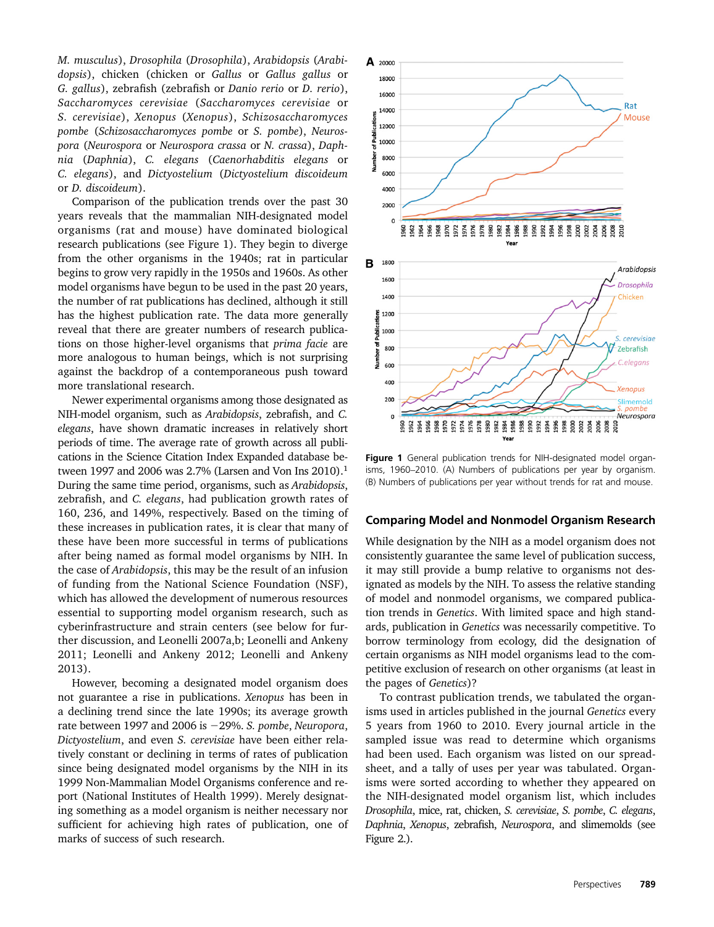M. musculus), Drosophila (Drosophila), Arabidopsis (Arabidopsis), chicken (chicken or Gallus or Gallus gallus or G. gallus), zebrafish (zebrafish or Danio rerio or D. rerio), Saccharomyces cerevisiae (Saccharomyces cerevisiae or S. cerevisiae), Xenopus (Xenopus), Schizosaccharomyces pombe (Schizosaccharomyces pombe or S. pombe), Neurospora (Neurospora or Neurospora crassa or N. crassa), Daphnia (Daphnia), C. elegans (Caenorhabditis elegans or C. elegans), and Dictyostelium (Dictyostelium discoideum or D. discoideum).

Comparison of the publication trends over the past 30 years reveals that the mammalian NIH-designated model organisms (rat and mouse) have dominated biological research publications (see Figure 1). They begin to diverge from the other organisms in the 1940s; rat in particular begins to grow very rapidly in the 1950s and 1960s. As other model organisms have begun to be used in the past 20 years, the number of rat publications has declined, although it still has the highest publication rate. The data more generally reveal that there are greater numbers of research publications on those higher-level organisms that prima facie are more analogous to human beings, which is not surprising against the backdrop of a contemporaneous push toward more translational research.

Newer experimental organisms among those designated as NIH-model organism, such as Arabidopsis, zebrafish, and C. elegans, have shown dramatic increases in relatively short periods of time. The average rate of growth across all publications in the Science Citation Index Expanded database between 1997 and 2006 was 2.7% (Larsen and Von Ins 2010).<sup>1</sup> During the same time period, organisms, such as Arabidopsis, zebrafish, and C. elegans, had publication growth rates of 160, 236, and 149%, respectively. Based on the timing of these increases in publication rates, it is clear that many of these have been more successful in terms of publications after being named as formal model organisms by NIH. In the case of Arabidopsis, this may be the result of an infusion of funding from the National Science Foundation (NSF), which has allowed the development of numerous resources essential to supporting model organism research, such as cyberinfrastructure and strain centers (see below for further discussion, and Leonelli 2007a,b; Leonelli and Ankeny 2011; Leonelli and Ankeny 2012; Leonelli and Ankeny 2013).

However, becoming a designated model organism does not guarantee a rise in publications. Xenopus has been in a declining trend since the late 1990s; its average growth rate between 1997 and 2006 is  $-29\%$ . S. pombe, Neuropora, Dictyostelium, and even S. cerevisiae have been either relatively constant or declining in terms of rates of publication since being designated model organisms by the NIH in its 1999 Non-Mammalian Model Organisms conference and report (National Institutes of Health 1999). Merely designating something as a model organism is neither necessary nor sufficient for achieving high rates of publication, one of marks of success of such research.



Figure 1 General publication trends for NIH-designated model organisms, 1960–2010. (A) Numbers of publications per year by organism. (B) Numbers of publications per year without trends for rat and mouse.

#### Comparing Model and Nonmodel Organism Research

While designation by the NIH as a model organism does not consistently guarantee the same level of publication success, it may still provide a bump relative to organisms not designated as models by the NIH. To assess the relative standing of model and nonmodel organisms, we compared publication trends in Genetics. With limited space and high standards, publication in Genetics was necessarily competitive. To borrow terminology from ecology, did the designation of certain organisms as NIH model organisms lead to the competitive exclusion of research on other organisms (at least in the pages of Genetics)?

To contrast publication trends, we tabulated the organisms used in articles published in the journal Genetics every 5 years from 1960 to 2010. Every journal article in the sampled issue was read to determine which organisms had been used. Each organism was listed on our spreadsheet, and a tally of uses per year was tabulated. Organisms were sorted according to whether they appeared on the NIH-designated model organism list, which includes Drosophila, mice, rat, chicken, S. cerevisiae, S. pombe, C. elegans, Daphnia, Xenopus, zebrafish, Neurospora, and slimemolds (see Figure 2.).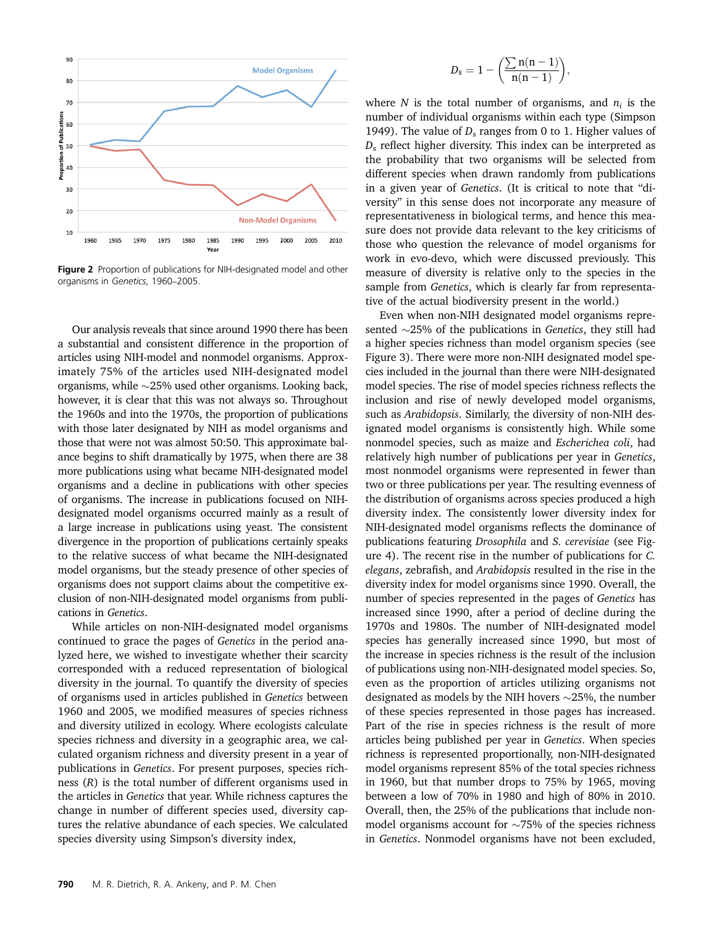

Figure 2 Proportion of publications for NIH-designated model and other organisms in Genetics, 1960–2005.

Our analysis reveals that since around 1990 there has been a substantial and consistent difference in the proportion of articles using NIH-model and nonmodel organisms. Approximately 75% of the articles used NIH-designated model organisms, while  $\sim$ 25% used other organisms. Looking back, however, it is clear that this was not always so. Throughout the 1960s and into the 1970s, the proportion of publications with those later designated by NIH as model organisms and those that were not was almost 50:50. This approximate balance begins to shift dramatically by 1975, when there are 38 more publications using what became NIH-designated model organisms and a decline in publications with other species of organisms. The increase in publications focused on NIHdesignated model organisms occurred mainly as a result of a large increase in publications using yeast. The consistent divergence in the proportion of publications certainly speaks to the relative success of what became the NIH-designated model organisms, but the steady presence of other species of organisms does not support claims about the competitive exclusion of non-NIH-designated model organisms from publications in Genetics.

While articles on non-NIH-designated model organisms continued to grace the pages of Genetics in the period analyzed here, we wished to investigate whether their scarcity corresponded with a reduced representation of biological diversity in the journal. To quantify the diversity of species of organisms used in articles published in Genetics between 1960 and 2005, we modified measures of species richness and diversity utilized in ecology. Where ecologists calculate species richness and diversity in a geographic area, we calculated organism richness and diversity present in a year of publications in Genetics. For present purposes, species richness (R) is the total number of different organisms used in the articles in Genetics that year. While richness captures the change in number of different species used, diversity captures the relative abundance of each species. We calculated species diversity using Simpson's diversity index,

$$
D_s=1-\bigg(\frac{\sum n(n-1)}{n(n-1)}\bigg),
$$

where N is the total number of organisms, and  $n_i$  is the number of individual organisms within each type (Simpson 1949). The value of  $D_s$  ranges from 0 to 1. Higher values of  $D<sub>s</sub>$  reflect higher diversity. This index can be interpreted as the probability that two organisms will be selected from different species when drawn randomly from publications in a given year of Genetics. (It is critical to note that "diversity" in this sense does not incorporate any measure of representativeness in biological terms, and hence this measure does not provide data relevant to the key criticisms of those who question the relevance of model organisms for work in evo-devo, which were discussed previously. This measure of diversity is relative only to the species in the sample from Genetics, which is clearly far from representative of the actual biodiversity present in the world.)

Even when non-NIH designated model organisms represented  $\sim$ 25% of the publications in Genetics, they still had a higher species richness than model organism species (see Figure 3). There were more non-NIH designated model species included in the journal than there were NIH-designated model species. The rise of model species richness reflects the inclusion and rise of newly developed model organisms, such as Arabidopsis. Similarly, the diversity of non-NIH designated model organisms is consistently high. While some nonmodel species, such as maize and Escherichea coli, had relatively high number of publications per year in Genetics, most nonmodel organisms were represented in fewer than two or three publications per year. The resulting evenness of the distribution of organisms across species produced a high diversity index. The consistently lower diversity index for NIH-designated model organisms reflects the dominance of publications featuring Drosophila and S. cerevisiae (see Figure 4). The recent rise in the number of publications for C. elegans, zebrafish, and Arabidopsis resulted in the rise in the diversity index for model organisms since 1990. Overall, the number of species represented in the pages of Genetics has increased since 1990, after a period of decline during the 1970s and 1980s. The number of NIH-designated model species has generally increased since 1990, but most of the increase in species richness is the result of the inclusion of publications using non-NIH-designated model species. So, even as the proportion of articles utilizing organisms not designated as models by the NIH hovers  $\sim$ 25%, the number of these species represented in those pages has increased. Part of the rise in species richness is the result of more articles being published per year in Genetics. When species richness is represented proportionally, non-NIH-designated model organisms represent 85% of the total species richness in 1960, but that number drops to 75% by 1965, moving between a low of 70% in 1980 and high of 80% in 2010. Overall, then, the 25% of the publications that include nonmodel organisms account for  $\sim$ 75% of the species richness in Genetics. Nonmodel organisms have not been excluded,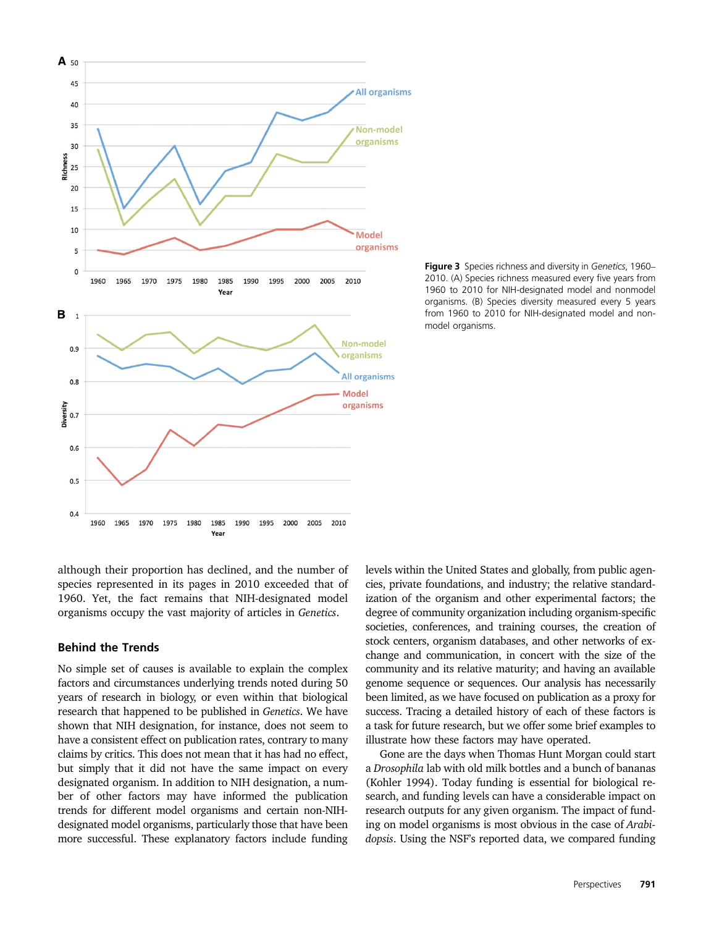

Figure 3 Species richness and diversity in Genetics, 1960– 2010. (A) Species richness measured every five years from 1960 to 2010 for NIH-designated model and nonmodel organisms. (B) Species diversity measured every 5 years from 1960 to 2010 for NIH-designated model and nonmodel organisms.

although their proportion has declined, and the number of species represented in its pages in 2010 exceeded that of 1960. Yet, the fact remains that NIH-designated model organisms occupy the vast majority of articles in Genetics.

#### Behind the Trends

No simple set of causes is available to explain the complex factors and circumstances underlying trends noted during 50 years of research in biology, or even within that biological research that happened to be published in Genetics. We have shown that NIH designation, for instance, does not seem to have a consistent effect on publication rates, contrary to many claims by critics. This does not mean that it has had no effect, but simply that it did not have the same impact on every designated organism. In addition to NIH designation, a number of other factors may have informed the publication trends for different model organisms and certain non-NIHdesignated model organisms, particularly those that have been more successful. These explanatory factors include funding levels within the United States and globally, from public agencies, private foundations, and industry; the relative standardization of the organism and other experimental factors; the degree of community organization including organism-specific societies, conferences, and training courses, the creation of stock centers, organism databases, and other networks of exchange and communication, in concert with the size of the community and its relative maturity; and having an available genome sequence or sequences. Our analysis has necessarily been limited, as we have focused on publication as a proxy for success. Tracing a detailed history of each of these factors is a task for future research, but we offer some brief examples to illustrate how these factors may have operated.

Gone are the days when Thomas Hunt Morgan could start a Drosophila lab with old milk bottles and a bunch of bananas (Kohler 1994). Today funding is essential for biological research, and funding levels can have a considerable impact on research outputs for any given organism. The impact of funding on model organisms is most obvious in the case of Arabidopsis. Using the NSF's reported data, we compared funding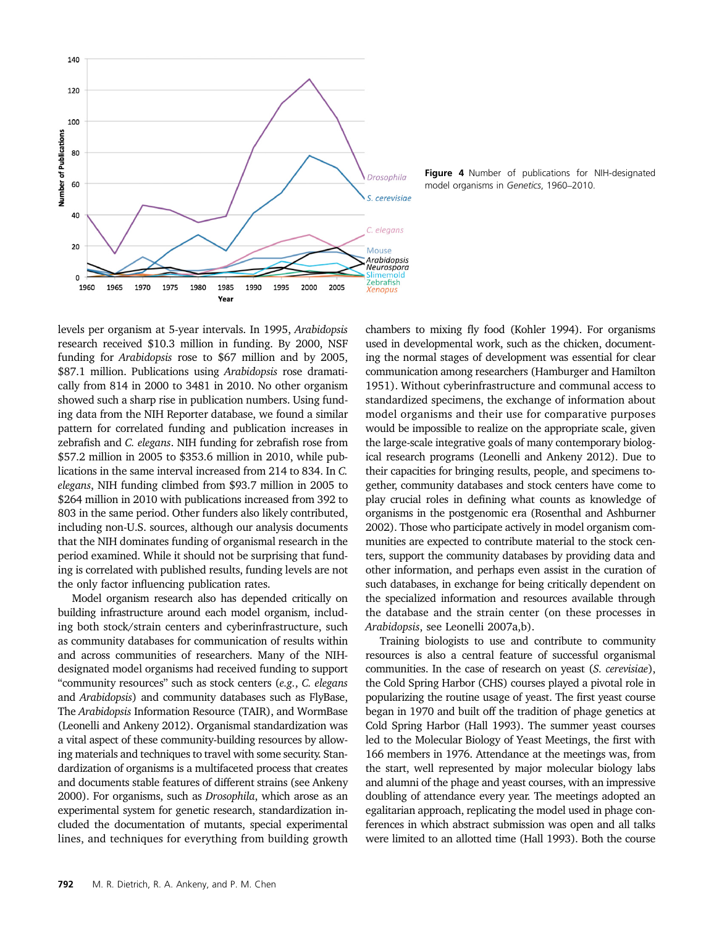

Figure 4 Number of publications for NIH-designated model organisms in Genetics, 1960–2010.

levels per organism at 5-year intervals. In 1995, Arabidopsis research received \$10.3 million in funding. By 2000, NSF funding for Arabidopsis rose to \$67 million and by 2005, \$87.1 million. Publications using Arabidopsis rose dramatically from 814 in 2000 to 3481 in 2010. No other organism showed such a sharp rise in publication numbers. Using funding data from the NIH Reporter database, we found a similar pattern for correlated funding and publication increases in zebrafish and C. elegans. NIH funding for zebrafish rose from \$57.2 million in 2005 to \$353.6 million in 2010, while publications in the same interval increased from 214 to 834. In C. elegans, NIH funding climbed from \$93.7 million in 2005 to \$264 million in 2010 with publications increased from 392 to 803 in the same period. Other funders also likely contributed, including non-U.S. sources, although our analysis documents that the NIH dominates funding of organismal research in the period examined. While it should not be surprising that funding is correlated with published results, funding levels are not the only factor influencing publication rates.

Model organism research also has depended critically on building infrastructure around each model organism, including both stock/strain centers and cyberinfrastructure, such as community databases for communication of results within and across communities of researchers. Many of the NIHdesignated model organisms had received funding to support "community resources" such as stock centers (e.g., C. elegans and Arabidopsis) and community databases such as FlyBase, The Arabidopsis Information Resource (TAIR), and WormBase (Leonelli and Ankeny 2012). Organismal standardization was a vital aspect of these community-building resources by allowing materials and techniques to travel with some security. Standardization of organisms is a multifaceted process that creates and documents stable features of different strains (see Ankeny 2000). For organisms, such as Drosophila, which arose as an experimental system for genetic research, standardization included the documentation of mutants, special experimental lines, and techniques for everything from building growth

chambers to mixing fly food (Kohler 1994). For organisms used in developmental work, such as the chicken, documenting the normal stages of development was essential for clear communication among researchers (Hamburger and Hamilton 1951). Without cyberinfrastructure and communal access to standardized specimens, the exchange of information about model organisms and their use for comparative purposes would be impossible to realize on the appropriate scale, given the large-scale integrative goals of many contemporary biological research programs (Leonelli and Ankeny 2012). Due to their capacities for bringing results, people, and specimens together, community databases and stock centers have come to play crucial roles in defining what counts as knowledge of organisms in the postgenomic era (Rosenthal and Ashburner 2002). Those who participate actively in model organism communities are expected to contribute material to the stock centers, support the community databases by providing data and other information, and perhaps even assist in the curation of such databases, in exchange for being critically dependent on the specialized information and resources available through the database and the strain center (on these processes in Arabidopsis, see Leonelli 2007a,b).

Training biologists to use and contribute to community resources is also a central feature of successful organismal communities. In the case of research on yeast (S. cerevisiae), the Cold Spring Harbor (CHS) courses played a pivotal role in popularizing the routine usage of yeast. The first yeast course began in 1970 and built off the tradition of phage genetics at Cold Spring Harbor (Hall 1993). The summer yeast courses led to the Molecular Biology of Yeast Meetings, the first with 166 members in 1976. Attendance at the meetings was, from the start, well represented by major molecular biology labs and alumni of the phage and yeast courses, with an impressive doubling of attendance every year. The meetings adopted an egalitarian approach, replicating the model used in phage conferences in which abstract submission was open and all talks were limited to an allotted time (Hall 1993). Both the course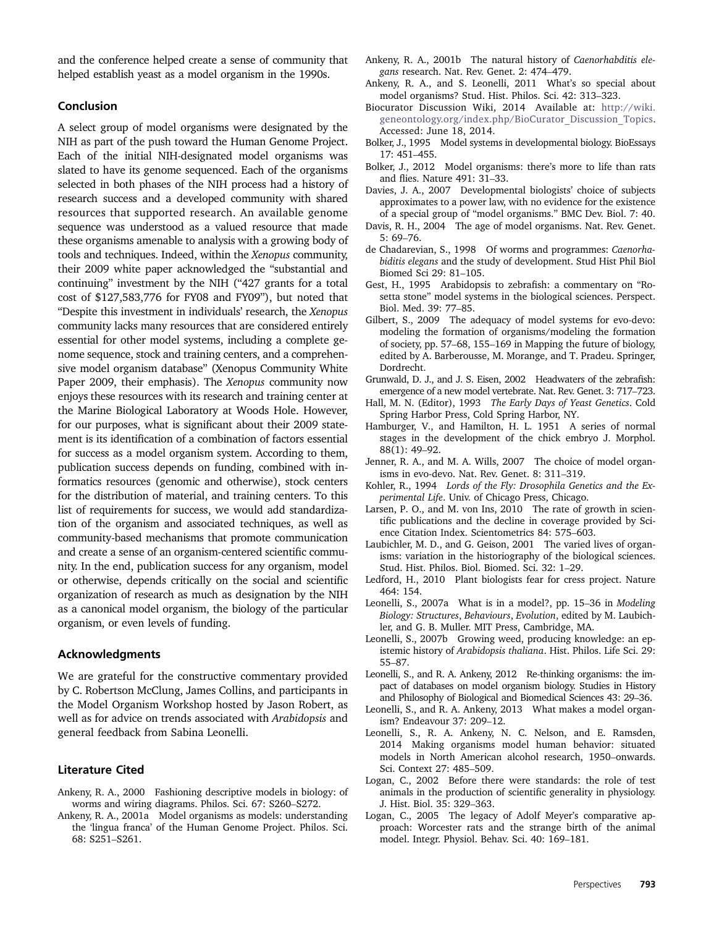and the conference helped create a sense of community that helped establish yeast as a model organism in the 1990s.

### Conclusion

A select group of model organisms were designated by the NIH as part of the push toward the Human Genome Project. Each of the initial NIH-designated model organisms was slated to have its genome sequenced. Each of the organisms selected in both phases of the NIH process had a history of research success and a developed community with shared resources that supported research. An available genome sequence was understood as a valued resource that made these organisms amenable to analysis with a growing body of tools and techniques. Indeed, within the Xenopus community, their 2009 white paper acknowledged the "substantial and continuing" investment by the NIH ("427 grants for a total cost of \$127,583,776 for FY08 and FY09"), but noted that "Despite this investment in individuals' research, the Xenopus community lacks many resources that are considered entirely essential for other model systems, including a complete genome sequence, stock and training centers, and a comprehensive model organism database" (Xenopus Community White Paper 2009, their emphasis). The Xenopus community now enjoys these resources with its research and training center at the Marine Biological Laboratory at Woods Hole. However, for our purposes, what is significant about their 2009 statement is its identification of a combination of factors essential for success as a model organism system. According to them, publication success depends on funding, combined with informatics resources (genomic and otherwise), stock centers for the distribution of material, and training centers. To this list of requirements for success, we would add standardization of the organism and associated techniques, as well as community-based mechanisms that promote communication and create a sense of an organism-centered scientific community. In the end, publication success for any organism, model or otherwise, depends critically on the social and scientific organization of research as much as designation by the NIH as a canonical model organism, the biology of the particular organism, or even levels of funding.

#### Acknowledgments

We are grateful for the constructive commentary provided by C. Robertson McClung, James Collins, and participants in the Model Organism Workshop hosted by Jason Robert, as well as for advice on trends associated with Arabidopsis and general feedback from Sabina Leonelli.

#### Literature Cited

- Ankeny, R. A., 2000 Fashioning descriptive models in biology: of worms and wiring diagrams. Philos. Sci. 67: S260–S272.
- Ankeny, R. A., 2001a Model organisms as models: understanding the 'lingua franca' of the Human Genome Project. Philos. Sci. 68: S251–S261.
- Ankeny, R. A., 2001b The natural history of Caenorhabditis elegans research. Nat. Rev. Genet. 2: 474–479.
- Ankeny, R. A., and S. Leonelli, 2011 What's so special about model organisms? Stud. Hist. Philos. Sci. 42: 313–323.
- Biocurator Discussion Wiki, 2014 Available at: [http://wiki.](http://wiki.geneontology.org/index.php/BioCurator_Discussion_Topics) [geneontology.org/index.php/BioCurator\\_Discussion\\_Topics.](http://wiki.geneontology.org/index.php/BioCurator_Discussion_Topics) Accessed: June 18, 2014.
- Bolker, J., 1995 Model systems in developmental biology. BioEssays 17: 451–455.
- Bolker, J., 2012 Model organisms: there's more to life than rats and flies. Nature 491: 31–33.
- Davies, J. A., 2007 Developmental biologists' choice of subjects approximates to a power law, with no evidence for the existence of a special group of "model organisms." BMC Dev. Biol. 7: 40.
- Davis, R. H., 2004 The age of model organisms. Nat. Rev. Genet. 5: 69–76.
- de Chadarevian, S., 1998 Of worms and programmes: Caenorhabiditis elegans and the study of development. Stud Hist Phil Biol Biomed Sci 29: 81–105.
- Gest, H., 1995 Arabidopsis to zebrafish: a commentary on "Rosetta stone" model systems in the biological sciences. Perspect. Biol. Med. 39: 77–85.
- Gilbert, S., 2009 The adequacy of model systems for evo-devo: modeling the formation of organisms/modeling the formation of society, pp. 57–68, 155–169 in Mapping the future of biology, edited by A. Barberousse, M. Morange, and T. Pradeu. Springer, Dordrecht.
- Grunwald, D. J., and J. S. Eisen, 2002 Headwaters of the zebrafish: emergence of a new model vertebrate. Nat. Rev. Genet. 3: 717–723.
- Hall, M. N. (Editor), 1993 The Early Days of Yeast Genetics. Cold Spring Harbor Press, Cold Spring Harbor, NY.
- Hamburger, V., and Hamilton, H. L. 1951 A series of normal stages in the development of the chick embryo J. Morphol. 88(1): 49–92.
- Jenner, R. A., and M. A. Wills, 2007 The choice of model organisms in evo-devo. Nat. Rev. Genet. 8: 311–319.
- Kohler, R., 1994 Lords of the Fly: Drosophila Genetics and the Experimental Life. Univ. of Chicago Press, Chicago.
- Larsen, P. O., and M. von Ins, 2010 The rate of growth in scientific publications and the decline in coverage provided by Science Citation Index. Scientometrics 84: 575–603.
- Laubichler, M. D., and G. Geison, 2001 The varied lives of organisms: variation in the historiography of the biological sciences. Stud. Hist. Philos. Biol. Biomed. Sci. 32: 1–29.
- Ledford, H., 2010 Plant biologists fear for cress project. Nature 464: 154.
- Leonelli, S., 2007a What is in a model?, pp. 15–36 in Modeling Biology: Structures, Behaviours, Evolution, edited by M. Laubichler, and G. B. Muller. MIT Press, Cambridge, MA.
- Leonelli, S., 2007b Growing weed, producing knowledge: an epistemic history of Arabidopsis thaliana. Hist. Philos. Life Sci. 29: 55–87.
- Leonelli, S., and R. A. Ankeny, 2012 Re-thinking organisms: the impact of databases on model organism biology. Studies in History and Philosophy of Biological and Biomedical Sciences 43: 29–36.
- Leonelli, S., and R. A. Ankeny, 2013 What makes a model organism? Endeavour 37: 209–12.
- Leonelli, S., R. A. Ankeny, N. C. Nelson, and E. Ramsden, 2014 Making organisms model human behavior: situated models in North American alcohol research, 1950–onwards. Sci. Context 27: 485–509.
- Logan, C., 2002 Before there were standards: the role of test animals in the production of scientific generality in physiology. J. Hist. Biol. 35: 329–363.
- Logan, C., 2005 The legacy of Adolf Meyer's comparative approach: Worcester rats and the strange birth of the animal model. Integr. Physiol. Behav. Sci. 40: 169–181.